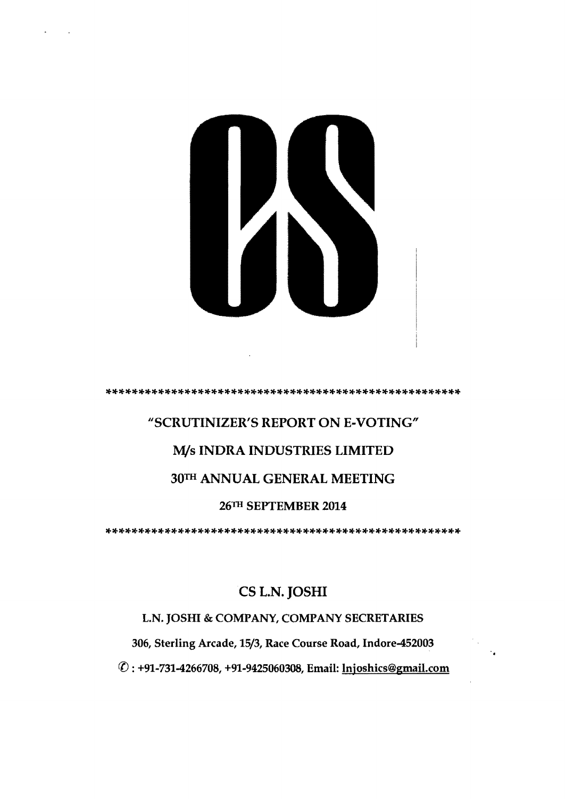

#### \*\*\*\*\*\*\*\*\*\*\*\*\*\*\*\*\*\*\*\*\*\*\*\*\*\*\*\*\*\*\*\*\*\*\*\*\*\*\*\*\*\*\*\*\*\*\*\*\*\*\*\*\*\*

## "SCRUTINIZER'S REPORT ON E-VOTING"

## M/s INDRA INDUSTRIES LIMITED

## 30TH ANNUAL GENERAL MEETING

#### 26TII SEPTEMBER 2014

\*\*\*\*\*\*\*\*\*\*\*\*\*\*\*\*\*\*\*\*\*\*\*\*\*\*\*\*\*\*\*\*\*\*\*\*\*\*\*\*\*\*\*\*\*\*\*\*\*\*\*\*\*\*

# CS L.N. JOSHI

## L.N. JOSHI & COMPANY, COMPANY SECRETARIES

306, Sterling Arcade, 15/3, Race Course Road, Indore-452003

({) : +91-731-4266708, +91-9425060308, Email: lnjoshics@gmail.com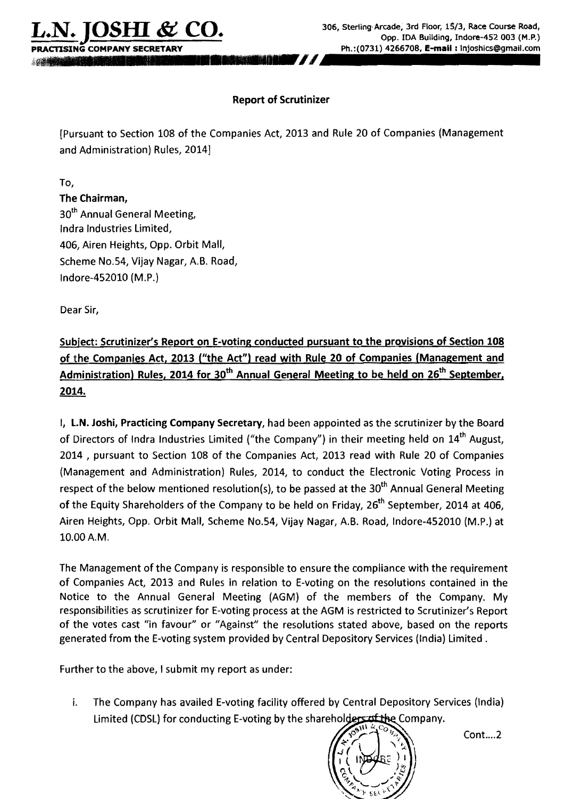$\overline{\text{TSING}}$  COMPANY SECRETARY

### Report of Scrutinizer

'*J1"*

[Pursuant to Section 108 of the Companies Act, 2013 and Rule 20 of Companies (Management and Administration) Rules, 2014J

To,

The Chairman, 30<sup>th</sup> Annual General Meeting, Indra Industries limited, 406, Airen Heights, Opp. Orbit Mall, Scheme No.54, Vijay Nagar, A.B. Road, Indore-452010 (M.P.)

Dear Sir,

Subject: Scrutinizer's Report on E-voting conducted pursuant to the provisions of Section 108 of the Companies Act, 2013 ("the Act") read with Rule 20 of Companies (Management and Administration) Rules, 2014 for 30<sup>th</sup> Annual General Meeting to be held on 26<sup>th</sup> September, 2014.

I, L.N. Joshi, Practicing Company Secretary, had been appointed as the scrutinizer by the Board of Directors of Indra Industries Limited ("the Company") in their meeting held on 14<sup>th</sup> August, 2014 , pursuant to Section 108 of the Companies Act, 2013 read with Rule 20 of Companies (Management and Administration) Rules, 2014, to conduct the Electronic Voting Process in respect of the below mentioned resolution(s), to be passed at the 30<sup>th</sup> Annual General Meeting of the Equity Shareholders of the Company to be held on Friday, 26<sup>th</sup> September, 2014 at 406, Airen Heights, Opp. Orbit Mall, Scheme No.54, Vijay Nagar, A.B. Road, Indore-452010 (M.P.) at 10.00 A.M.

The Management of the Company is responsible to ensure the compliance with the requirement of Companies Act, 2013 and Rules in relation to E-voting on the resolutions contained in the Notice to the Annual General Meeting (AGM) of the members of the Company. My responsibilities as scrutinizer for E-voting process at the AGM is restricted to Scrutinizer's Report of the votes cast "in favour" or "Against" the resolutions stated above, based on the reports generated from the E-voting system provided by Central Depository Services (India) Limited.

Further to the above, I submit my report as under:

i. The Company has availed E-voting facility offered by Central Depository Services (India) Limited (CDSL) for conducting E-voting by the shareholders of the Company.



Cont....2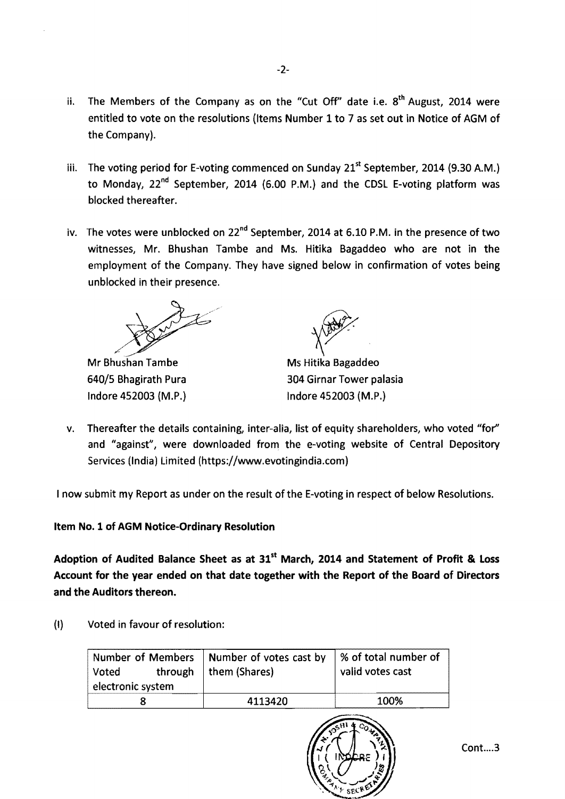- ii. The Members of the Company as on the "Cut Off" date i.e.  $8<sup>th</sup>$  August, 2014 were entitled to vote on the resolutions (Items Number 1 to 7 as set out in Notice of AGM of the Company).
- iii. The voting period for E-voting commenced on Sunday 21<sup>st</sup> September, 2014 (9.30 A.M.) to Monday, 22<sup>nd</sup> September, 2014 (6.00 P.M.) and the CDSL E-voting platform was blocked thereafter.
- iv. The votes were unblocked on  $22^{nd}$  September, 2014 at 6.10 P.M. in the presence of two witnesses, Mr. Bhushan Tambe and Ms. Hitika Bagaddeo who are not in the employment of the Company. They have signed below in confirmation of votes being unblocked in their presence.

Mr Bhushan Tambe Indore 452003 (M.P.) Indore 452003 (M.P.)



Ms Hitika Bagaddeo 640/5 Bhagirath Pura 304 Girnar Tower palasia

v. Thereafter the details containing, inter-alia, list of equity shareholders, who voted "for" and "against", were downloaded from the e-voting website of Central Depository Services (India) Limited (https://www.evotingindia.com)

I now submit my Report as under on the result of the E-voting in respect of below Resolutions.

Item No.1 of AGM Notice-Ordinary Resolution

Adoption of Audited Balance Sheet as at 31<sup>st</sup> March, 2014 and Statement of Profit & Loss Account for the year ended on that date together with the Report of the Board of Directors and the Auditors thereon.

{I} Voted in favour of resolution:

| through<br>Voted<br>electronic system | Number of Members   Number of votes cast by<br>them (Shares) | │% of total number of<br>valid votes cast |
|---------------------------------------|--------------------------------------------------------------|-------------------------------------------|
|                                       | 4113420                                                      | 100%                                      |

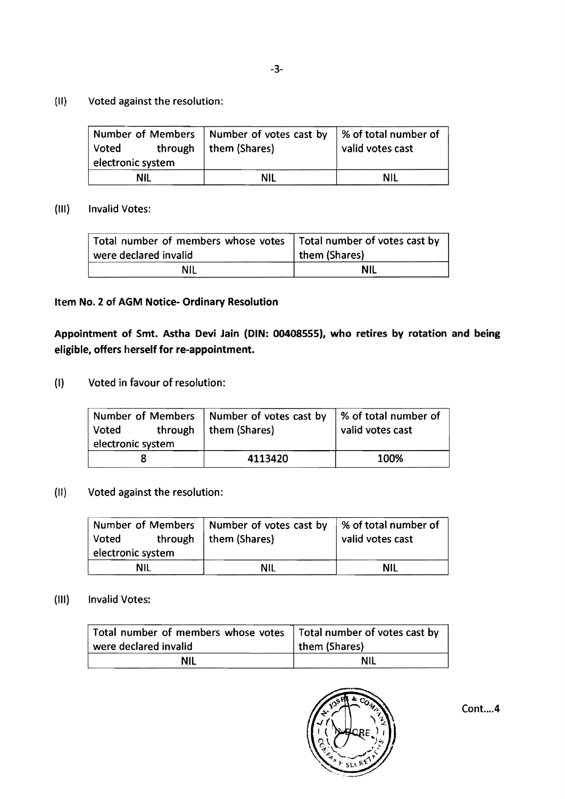(II) Voted against the resolution:

| Voted             | Number of Members   Number of votes cast by $\frac{1}{2}$ % of total number of<br>through   them (Shares) | valid votes cast |
|-------------------|-----------------------------------------------------------------------------------------------------------|------------------|
| electronic system |                                                                                                           |                  |
| NIL               | NIL                                                                                                       | NIL              |

#### (III) Invalid Votes:

| Total number of members whose votes   Total number of votes cast by |               |
|---------------------------------------------------------------------|---------------|
| were declared invalid                                               | them (Shares) |
| ΝIΙ                                                                 | NII           |

#### Item No.2 of AGM Notice- Ordinary Resolution

Appointment of Smt. Astha Devi Jain (DIN: 00408555), who retires by rotation and being eligible, offers herself for re-appointment.

(I) Voted in favour of resolution:

| <b>Voted</b>      | Number of Members   Number of votes cast by $\frac{1}{2}$ % of total number of<br>through   them (Shares) | valid votes cast |
|-------------------|-----------------------------------------------------------------------------------------------------------|------------------|
| electronic system |                                                                                                           |                  |
|                   | 4113420                                                                                                   | 100%             |

## (II) Voted against the resolution:

|                   | Number of Members   Number of votes cast by $\frac{1}{2}$ % of total number of |                  |
|-------------------|--------------------------------------------------------------------------------|------------------|
| Voted             | through   them (Shares)                                                        | valid votes cast |
| electronic system |                                                                                |                  |
| NIL               | NII.                                                                           | NII              |

#### (III) Invalid Votes:

| Total number of members whose votes   Total number of votes cast by |               |
|---------------------------------------------------------------------|---------------|
| were declared invalid                                               | them (Shares) |
| <b>NIL</b>                                                          | NIL           |



Cont .... 4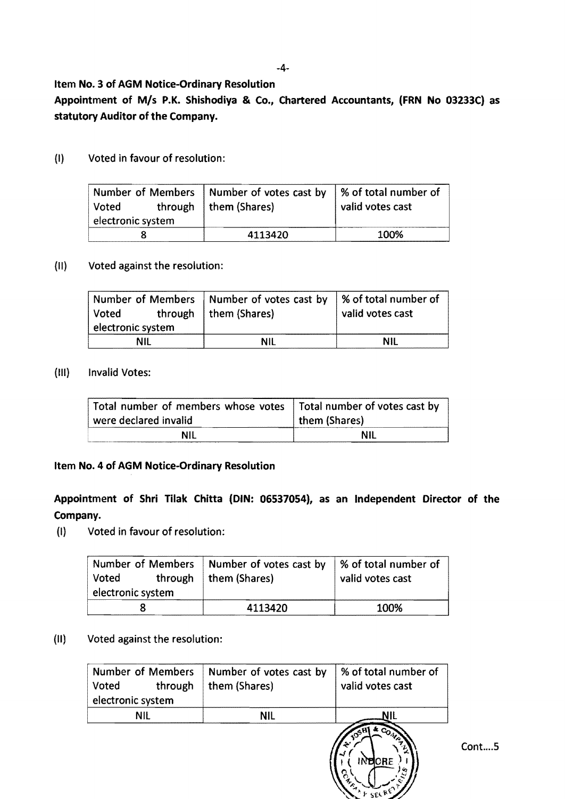-4

#### Item No.3 of AGM Notice-Ordinary Resolution

Appointment of *MIs* P.K. Shishodiya & Co., Chartered Accountants, (FRN No 03233C) as statutory Auditor of the Company.

(I) Voted in favour of resolution:

|                   | Number of Members   Number of votes cast by | │% of total number of |
|-------------------|---------------------------------------------|-----------------------|
| Voted             | through   them (Shares)                     | valid votes cast      |
| electronic system |                                             |                       |
|                   | 4113420                                     | 100%                  |

#### (II) Voted against the resolution:

| Voted<br>electronic system | Number of Members   Number of votes cast by $\frac{1}{2}$ % of total number of<br>through   them (Shares) | valid votes cast |
|----------------------------|-----------------------------------------------------------------------------------------------------------|------------------|
| NIL                        | NII                                                                                                       | NII              |

### (III) Invalid Votes:

| Total number of members whose votes   Total number of votes cast by<br>were declared invalid | them (Shares) |
|----------------------------------------------------------------------------------------------|---------------|
| NIL                                                                                          | ΝIΙ           |

#### Item No.4 of AGM Notice-Ordinary Resolution

## Appointment of Shri Tilak Chitta (DIN: 06537054), as an Independent Director of the Company.

(I) Voted in favour of resolution:

| <b>Voted</b>      | Number of Members   Number of votes cast by | │% of total number of |
|-------------------|---------------------------------------------|-----------------------|
| electronic system | through $ $ them (Shares)                   | valid votes cast      |
|                   | 4113420                                     | 100%                  |

#### (II) Voted against the resolution:

| Voted<br>electronic system |     | Number of Members   Number of votes cast by<br>through   them (Shares) | % of total number of<br>valid votes cast |
|----------------------------|-----|------------------------------------------------------------------------|------------------------------------------|
|                            | NII | NII                                                                    | NIL                                      |
|                            |     |                                                                        |                                          |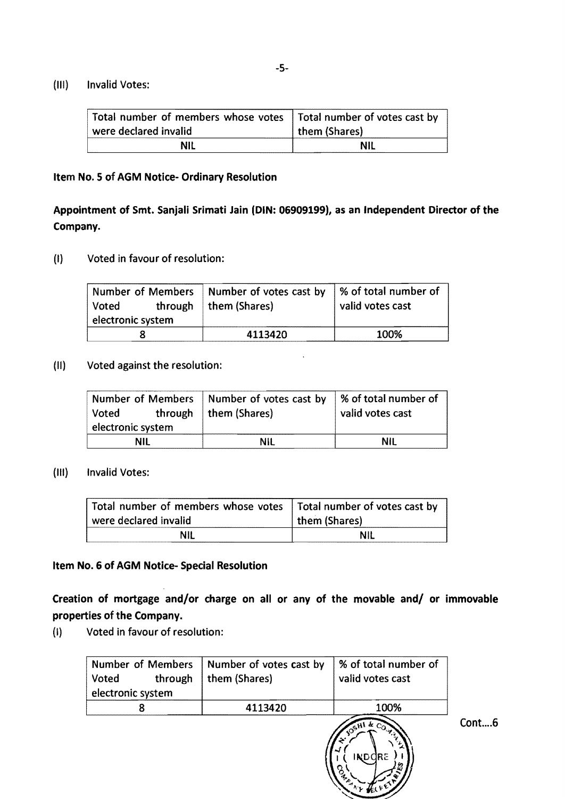#### (III) Invalid Votes:

| Total number of members whose votes   Total number of votes cast by |               |
|---------------------------------------------------------------------|---------------|
| were declared invalid                                               | them (Shares) |
| NIL                                                                 | NIL           |

#### Item No.5 of AGM Notice- Ordinary Resolution

## Appointment of Smt. Sanjali Srimati Jain (DIN: 06909199), as an Independent Director of the Company.

(I) Voted in favour of resolution:

| Voted             | Number of Members Number of votes cast by<br>through $ $ them (Shares) | ■ % of total number of<br>valid votes cast |
|-------------------|------------------------------------------------------------------------|--------------------------------------------|
| electronic system |                                                                        |                                            |
|                   | 4113420                                                                | 100%                                       |

#### (II) Voted against the resolution:

| Voted             | Number of Members   Number of votes cast by<br>through   them $(Shares)$ | ■ % of total number of<br>valid votes cast |
|-------------------|--------------------------------------------------------------------------|--------------------------------------------|
| electronic system |                                                                          |                                            |
| NII               | NIL                                                                      | NIL                                        |

#### (III) Invalid Votes:

| Total number of members whose votes   Total number of votes cast by |               |  |
|---------------------------------------------------------------------|---------------|--|
| were declared invalid                                               | them (Shares) |  |
| ΝIΙ                                                                 | NIL           |  |

#### Item No.6 of AGM Notice- Special Resolution

Creation of mortgage and/or charge on all or any of the movable and/ or immovable properties of the Company.

(I) Voted in favour of resolution:

| <b>Number of Members</b><br>Voted<br>through<br>electronic system | Number of votes cast by<br>them (Shares) | % of total number of<br>valid votes cast |
|-------------------------------------------------------------------|------------------------------------------|------------------------------------------|
|                                                                   | 4113420                                  | 100%                                     |
|                                                                   |                                          | OSHI & CO.<br>IND.<br>ara                |

Cont....6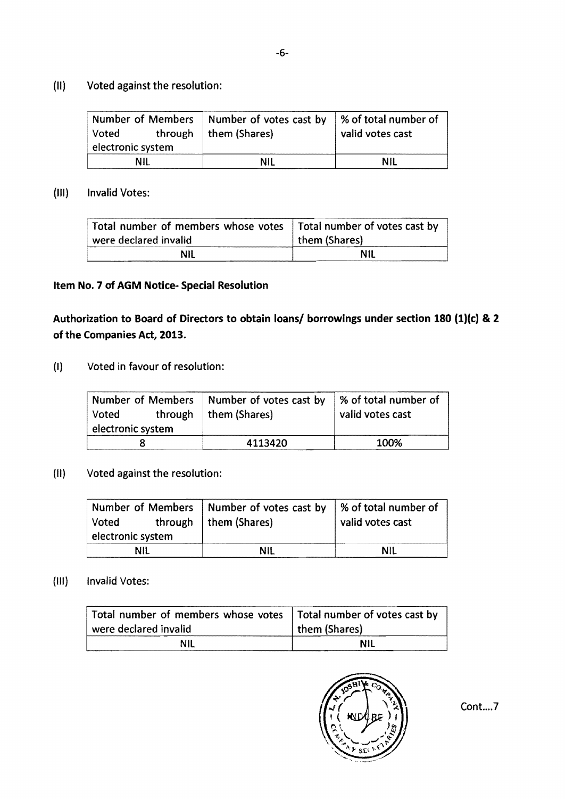## (II) Voted against the resolution:

| Voted             | Number of Members   Number of votes cast by<br>through $ $ them (Shares) | ■ % of total number of<br>valid votes cast |
|-------------------|--------------------------------------------------------------------------|--------------------------------------------|
| electronic system |                                                                          |                                            |
| NII               | NIL                                                                      | NIL                                        |

(III) Invalid Votes:

| Total number of members whose votes   Total number of votes cast by |               |
|---------------------------------------------------------------------|---------------|
| were declared invalid                                               | them (Shares) |
| NIL                                                                 | <b>NIL</b>    |

## Item No. 7 of AGM Notice· Special Resolution

## Authorization to Board of Directors to obtain loans/ borrowings under section 180 (1)(c) & 2 of the Companies Act, 2013.

(I) Voted in favour of resolution:

| Voted<br>electronic system | Number of Members   Number of votes cast by<br>through   them (Shares) | │% of total number of<br>valid votes cast |
|----------------------------|------------------------------------------------------------------------|-------------------------------------------|
|                            |                                                                        |                                           |
|                            | 4113420                                                                | 100%                                      |

## (II) Voted against the resolution:

|                   |     | Number of Members   Number of votes cast by $\frac{1}{2}$ % of total number of |                  |
|-------------------|-----|--------------------------------------------------------------------------------|------------------|
| Voted             |     | through   them (Shares)                                                        | valid votes cast |
| electronic system |     |                                                                                |                  |
|                   | NIL | NII                                                                            | NII              |

## (III) Invalid Votes:

| Total number of members whose votes   Total number of votes cast by<br>were declared invalid | them (Shares) |  |
|----------------------------------------------------------------------------------------------|---------------|--|
| NII                                                                                          | NII           |  |

Cont....7